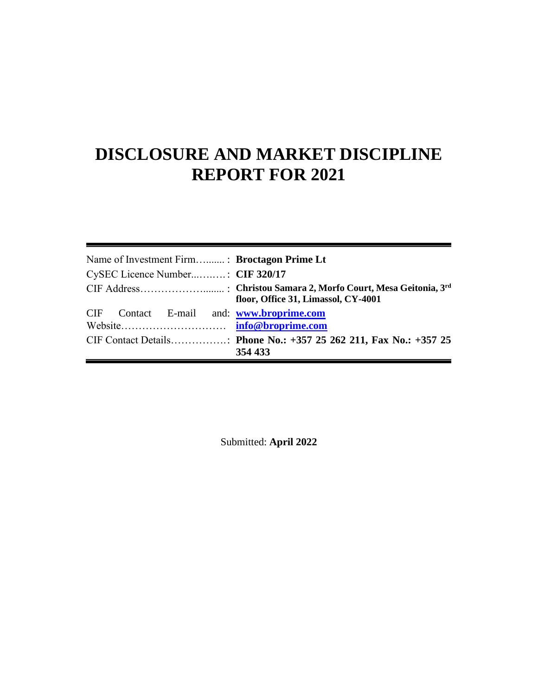# **DISCLOSURE AND MARKET DISCIPLINE REPORT FOR 2021**

| Name of Investment Firm: Broctagon Prime Lt<br>CySEC Licence Number: CIF 320/17 |                                     |  |
|---------------------------------------------------------------------------------|-------------------------------------|--|
| CIF Contact E-mail and: www.broprime.com                                        | floor, Office 31, Limassol, CY-4001 |  |
|                                                                                 | 354 433                             |  |

Submitted: **April 2022**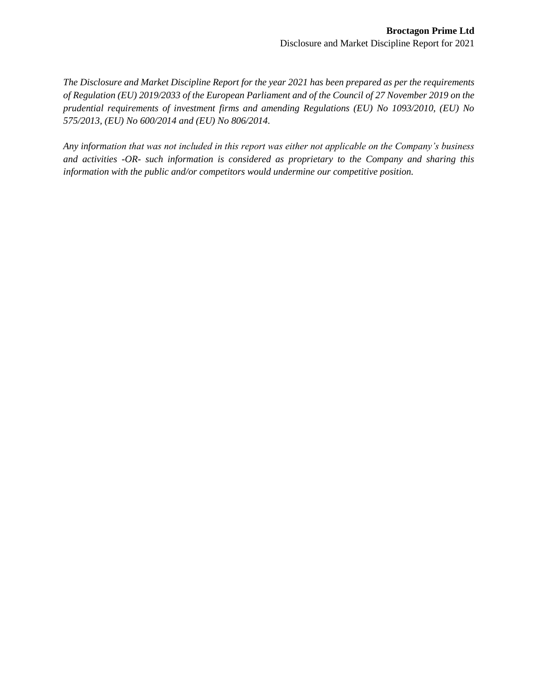*The Disclosure and Market Discipline Report for the year 2021 has been prepared as per the requirements of Regulation (EU) 2019/2033 of the European Parliament and of the Council of 27 November 2019 on the prudential requirements of investment firms and amending Regulations (EU) No 1093/2010, (EU) No 575/2013, (EU) No 600/2014 and (EU) No 806/2014.*

*Any information that was not included in this report was either not applicable on the Company's business and activities -OR- such information is considered as proprietary to the Company and sharing this information with the public and/or competitors would undermine our competitive position.*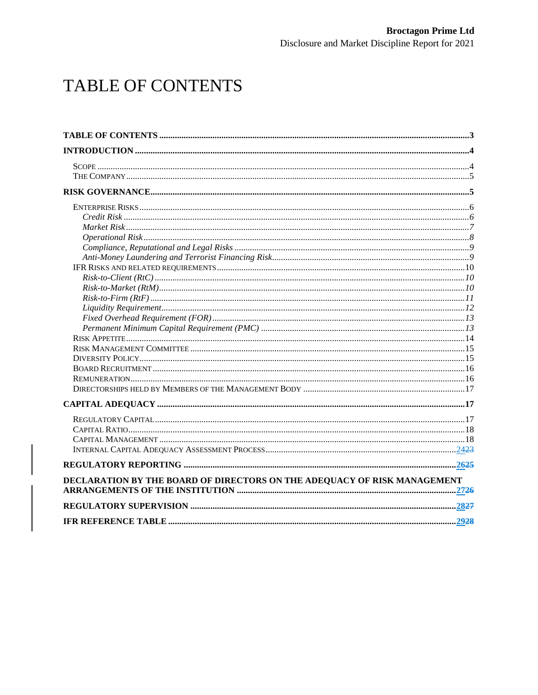# <span id="page-2-0"></span>TABLE OF CONTENTS

| DECLARATION BY THE BOARD OF DIRECTORS ON THE ADEQUACY OF RISK MANAGEMENT |  |
|--------------------------------------------------------------------------|--|
|                                                                          |  |
|                                                                          |  |
|                                                                          |  |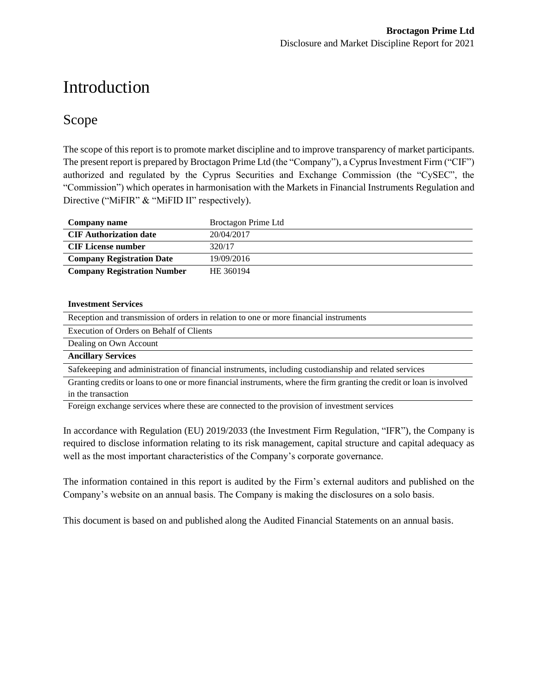# <span id="page-3-0"></span>Introduction

## <span id="page-3-1"></span>Scope

The scope of this report is to promote market discipline and to improve transparency of market participants. The present report is prepared by Broctagon Prime Ltd (the "Company"), a Cyprus Investment Firm ("CIF") authorized and regulated by the Cyprus Securities and Exchange Commission (the "CySEC", the "Commission") which operates in harmonisation with the Markets in Financial Instruments Regulation and Directive ("MiFIR" & "MiFID II" respectively).

| Company name                       | Broctagon Prime Ltd |
|------------------------------------|---------------------|
| <b>CIF</b> Authorization date      | 20/04/2017          |
| <b>CIF License number</b>          | 320/17              |
| <b>Company Registration Date</b>   | 19/09/2016          |
| <b>Company Registration Number</b> | HE 360194           |

#### **Investment Services**

| Reception and transmission of orders in relation to one or more financial instruments                 |
|-------------------------------------------------------------------------------------------------------|
| Execution of Orders on Behalf of Clients                                                              |
| Dealing on Own Account                                                                                |
| <b>Ancillary Services</b>                                                                             |
| Safekeeping and administration of financial instruments, including custodianship and related services |

Granting credits or loans to one or more financial instruments, where the firm granting the credit or loan is involved in the transaction

Foreign exchange services where these are connected to the provision of investment services

In accordance with Regulation (EU) 2019/2033 (the Investment Firm Regulation, "IFR"), the Company is required to disclose information relating to its risk management, capital structure and capital adequacy as well as the most important characteristics of the Company's corporate governance.

The information contained in this report is audited by the Firm's external auditors and published on the Company's website on an annual basis. The Company is making the disclosures on a solo basis.

This document is based on and published along the Audited Financial Statements on an annual basis.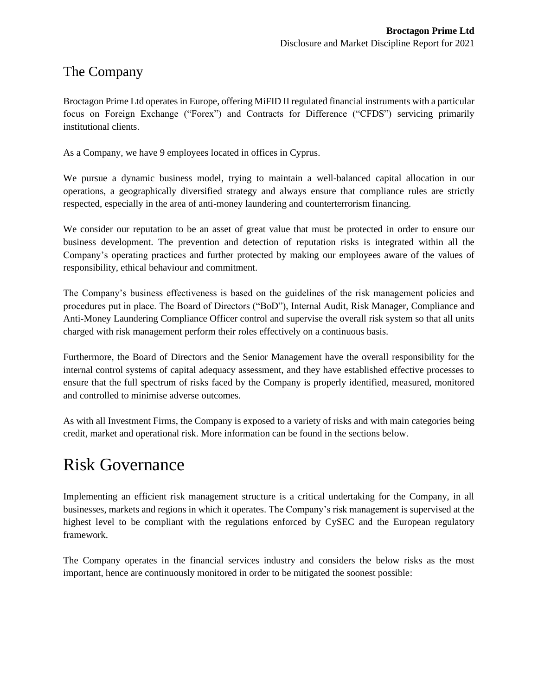## <span id="page-4-0"></span>The Company

Broctagon Prime Ltd operates in Europe, offering MiFID II regulated financial instruments with a particular focus on Foreign Exchange ("Forex") and Contracts for Difference ("CFDS") servicing primarily institutional clients.

As a Company, we have 9 employees located in offices in Cyprus.

We pursue a dynamic business model, trying to maintain a well-balanced capital allocation in our operations, a geographically diversified strategy and always ensure that compliance rules are strictly respected, especially in the area of anti-money laundering and counterterrorism financing.

We consider our reputation to be an asset of great value that must be protected in order to ensure our business development. The prevention and detection of reputation risks is integrated within all the Company's operating practices and further protected by making our employees aware of the values of responsibility, ethical behaviour and commitment.

The Company's business effectiveness is based on the guidelines of the risk management policies and procedures put in place. The Board of Directors ("BoD"), Internal Audit, Risk Manager, Compliance and Anti-Money Laundering Compliance Officer control and supervise the overall risk system so that all units charged with risk management perform their roles effectively on a continuous basis.

Furthermore, the Board of Directors and the Senior Management have the overall responsibility for the internal control systems of capital adequacy assessment, and they have established effective processes to ensure that the full spectrum of risks faced by the Company is properly identified, measured, monitored and controlled to minimise adverse outcomes.

As with all Investment Firms, the Company is exposed to a variety of risks and with main categories being credit, market and operational risk. More information can be found in the sections below.

## <span id="page-4-1"></span>Risk Governance

Implementing an efficient risk management structure is a critical undertaking for the Company, in all businesses, markets and regions in which it operates. The Company's risk management is supervised at the highest level to be compliant with the regulations enforced by CySEC and the European regulatory framework.

The Company operates in the financial services industry and considers the below risks as the most important, hence are continuously monitored in order to be mitigated the soonest possible: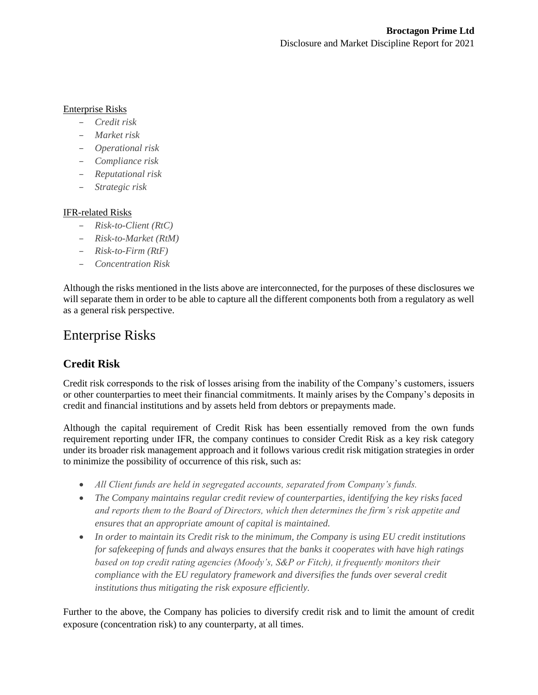#### Enterprise Risks

- *Credit risk*
- *Market risk*
- *Operational risk*
- *Compliance risk*
- *Reputational risk*
- *Strategic risk*

#### IFR-related Risks

- *Risk-to-Client (RtC)*
- *Risk-to-Market (RtM)*
- *Risk-to-Firm (RtF)*
- *Concentration Risk*

Although the risks mentioned in the lists above are interconnected, for the purposes of these disclosures we will separate them in order to be able to capture all the different components both from a regulatory as well as a general risk perspective.

## <span id="page-5-0"></span>Enterprise Risks

### <span id="page-5-1"></span>**Credit Risk**

Credit risk corresponds to the risk of losses arising from the inability of the Company's customers, issuers or other counterparties to meet their financial commitments. It mainly arises by the Company's deposits in credit and financial institutions and by assets held from debtors or prepayments made.

Although the capital requirement of Credit Risk has been essentially removed from the own funds requirement reporting under IFR, the company continues to consider Credit Risk as a key risk category under its broader risk management approach and it follows various credit risk mitigation strategies in order to minimize the possibility of occurrence of this risk, such as:

- *All Client funds are held in segregated accounts, separated from Company's funds.*
- *The Company maintains regular credit review of counterparties, identifying the key risks faced and reports them to the Board of Directors, which then determines the firm's risk appetite and ensures that an appropriate amount of capital is maintained.*
- *In order to maintain its Credit risk to the minimum, the Company is using EU credit institutions for safekeeping of funds and always ensures that the banks it cooperates with have high ratings based on top credit rating agencies (Moody's, S&P or Fitch), it frequently monitors their compliance with the EU regulatory framework and diversifies the funds over several credit institutions thus mitigating the risk exposure efficiently.*

Further to the above, the Company has policies to diversify credit risk and to limit the amount of credit exposure (concentration risk) to any counterparty, at all times.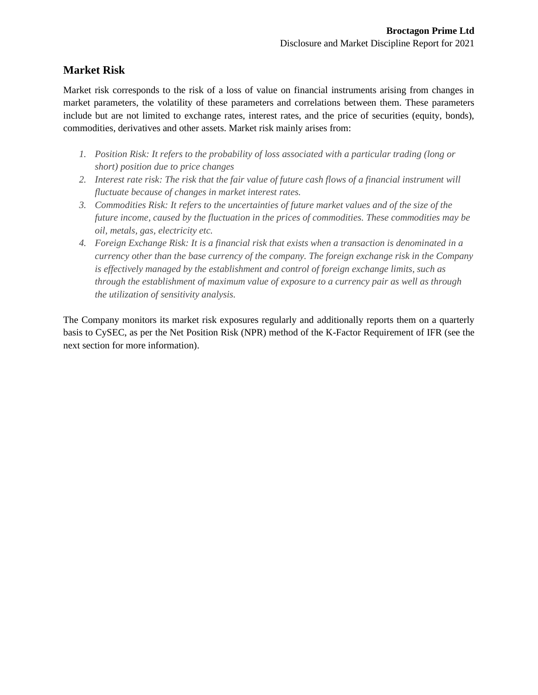#### <span id="page-6-0"></span>**Market Risk**

Market risk corresponds to the risk of a loss of value on financial instruments arising from changes in market parameters, the volatility of these parameters and correlations between them. These parameters include but are not limited to exchange rates, interest rates, and the price of securities (equity, bonds), commodities, derivatives and other assets. Market risk mainly arises from:

- *1. Position Risk: It refers to the probability of loss associated with a particular trading (long or short) position due to price changes*
- *2. Interest rate risk: The risk that the fair value of future cash flows of a financial instrument will fluctuate because of changes in market interest rates.*
- *3. Commodities Risk: It refers to the uncertainties of future market values and of the size of the future income, caused by the fluctuation in the prices of commodities. These commodities may be oil, metals, gas, electricity etc.*
- *4. Foreign Exchange Risk: It is a financial risk that exists when a transaction is denominated in a currency other than the base currency of the company. The foreign exchange risk in the Company is effectively managed by the establishment and control of foreign exchange limits, such as through the establishment of maximum value of exposure to a currency pair as well as through the utilization of sensitivity analysis.*

The Company monitors its market risk exposures regularly and additionally reports them on a quarterly basis to CySEC, as per the Net Position Risk (NPR) method of the K-Factor Requirement of IFR (see the next section for more information).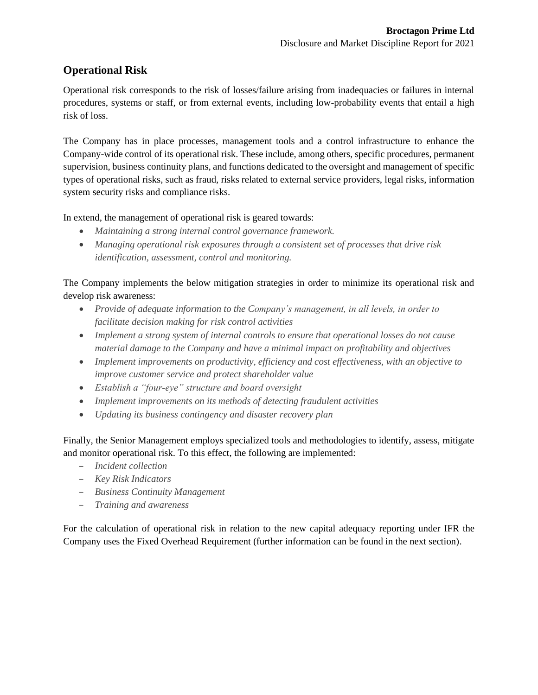### <span id="page-7-0"></span>**Operational Risk**

Operational risk corresponds to the risk of losses/failure arising from inadequacies or failures in internal procedures, systems or staff, or from external events, including low-probability events that entail a high risk of loss.

The Company has in place processes, management tools and a control infrastructure to enhance the Company-wide control of its operational risk. These include, among others, specific procedures, permanent supervision, business continuity plans, and functions dedicated to the oversight and management of specific types of operational risks, such as fraud, risks related to external service providers, legal risks, information system security risks and compliance risks.

In extend, the management of operational risk is geared towards:

- *Maintaining a strong internal control governance framework.*
- *Managing operational risk exposures through a consistent set of processes that drive risk identification, assessment, control and monitoring.*

The Company implements the below mitigation strategies in order to minimize its operational risk and develop risk awareness:

- *Provide of adequate information to the Company's management, in all levels, in order to facilitate decision making for risk control activities*
- *Implement a strong system of internal controls to ensure that operational losses do not cause material damage to the Company and have a minimal impact on profitability and objectives*
- *Implement improvements on productivity, efficiency and cost effectiveness, with an objective to improve customer service and protect shareholder value*
- *Establish a "four-eye" structure and board oversight*
- *Implement improvements on its methods of detecting fraudulent activities*
- *Updating its business contingency and disaster recovery plan*

Finally, the Senior Management employs specialized tools and methodologies to identify, assess, mitigate and monitor operational risk. To this effect, the following are implemented:

- *Incident collection*
- *Key Risk Indicators*
- *Business Continuity Management*
- *Training and awareness*

For the calculation of operational risk in relation to the new capital adequacy reporting under IFR the Company uses the Fixed Overhead Requirement (further information can be found in the next section).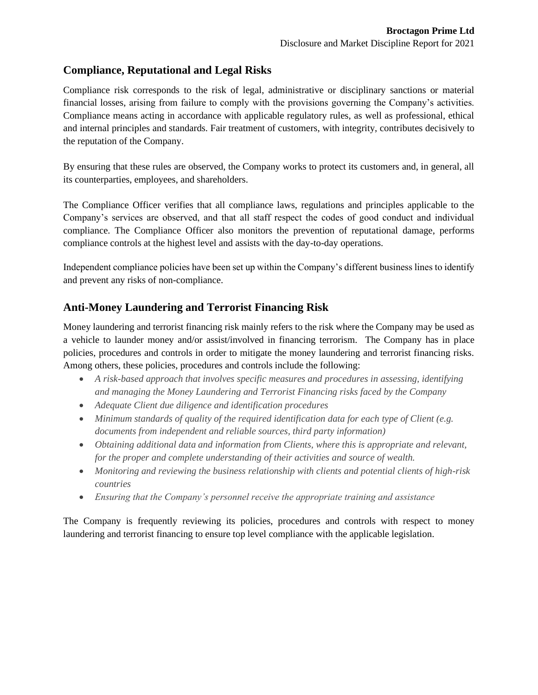### <span id="page-8-0"></span>**Compliance, Reputational and Legal Risks**

Compliance risk corresponds to the risk of legal, administrative or disciplinary sanctions or material financial losses, arising from failure to comply with the provisions governing the Company's activities. Compliance means acting in accordance with applicable regulatory rules, as well as professional, ethical and internal principles and standards. Fair treatment of customers, with integrity, contributes decisively to the reputation of the Company.

By ensuring that these rules are observed, the Company works to protect its customers and, in general, all its counterparties, employees, and shareholders.

The Compliance Officer verifies that all compliance laws, regulations and principles applicable to the Company's services are observed, and that all staff respect the codes of good conduct and individual compliance. The Compliance Officer also monitors the prevention of reputational damage, performs compliance controls at the highest level and assists with the day-to-day operations.

Independent compliance policies have been set up within the Company's different business lines to identify and prevent any risks of non-compliance.

### <span id="page-8-1"></span>**Anti-Money Laundering and Terrorist Financing Risk**

Money laundering and terrorist financing risk mainly refers to the risk where the Company may be used as a vehicle to launder money and/or assist/involved in financing terrorism. The Company has in place policies, procedures and controls in order to mitigate the money laundering and terrorist financing risks. Among others, these policies, procedures and controls include the following:

- *A risk-based approach that involves specific measures and procedures in assessing, identifying and managing the Money Laundering and Terrorist Financing risks faced by the Company*
- *Adequate Client due diligence and identification procedures*
- *Minimum standards of quality of the required identification data for each type of Client (e.g. documents from independent and reliable sources, third party information)*
- *Obtaining additional data and information from Clients, where this is appropriate and relevant, for the proper and complete understanding of their activities and source of wealth.*
- *Monitoring and reviewing the business relationship with clients and potential clients of high-risk countries*
- *Ensuring that the Company's personnel receive the appropriate training and assistance*

The Company is frequently reviewing its policies, procedures and controls with respect to money laundering and terrorist financing to ensure top level compliance with the applicable legislation.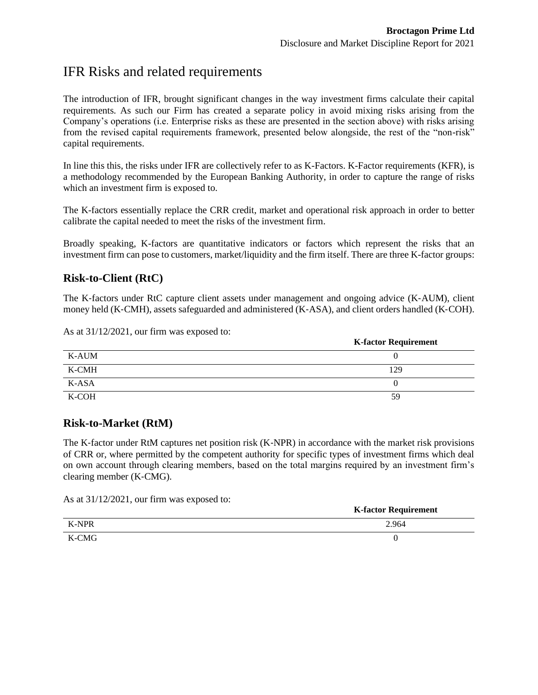**K-factor Requirement**

## <span id="page-9-0"></span>IFR Risks and related requirements

The introduction of IFR, brought significant changes in the way investment firms calculate their capital requirements. As such our Firm has created a separate policy in avoid mixing risks arising from the Company's operations (i.e. Enterprise risks as these are presented in the section above) with risks arising from the revised capital requirements framework, presented below alongside, the rest of the "non-risk" capital requirements.

In line this this, the risks under IFR are collectively refer to as K-Factors. K-Factor requirements (KFR), is a methodology recommended by the European Banking Authority, in order to capture the range of risks which an investment firm is exposed to.

The K-factors essentially replace the CRR credit, market and operational risk approach in order to better calibrate the capital needed to meet the risks of the investment firm.

Broadly speaking, K-factors are quantitative indicators or factors which represent the risks that an investment firm can pose to customers, market/liquidity and the firm itself. There are three K-factor groups:

#### <span id="page-9-1"></span>**Risk-to-Client (RtC)**

The K-factors under RtC capture client assets under management and ongoing advice (K-AUM), client money held (K‐CMH), assets safeguarded and administered (K‐ASA), and client orders handled (K‐COH).

As at 31/12/2021, our firm was exposed to:

|       | A-ractor Acquirement |
|-------|----------------------|
| K-AUM |                      |
| K-CMH | 129                  |
| K-ASA |                      |
| K-COH | 59                   |

#### <span id="page-9-2"></span>**Risk-to-Market (RtM)**

The K-factor under RtM captures net position risk (K-NPR) in accordance with the market risk provisions of CRR or, where permitted by the competent authority for specific types of investment firms which deal on own account through clearing members, based on the total margins required by an investment firm's clearing member (K‐CMG).

As at 31/12/2021, our firm was exposed to:

|       |  | <b>K-factor Requirement</b> |
|-------|--|-----------------------------|
| K-NPR |  | 2.964                       |
| K-CMG |  |                             |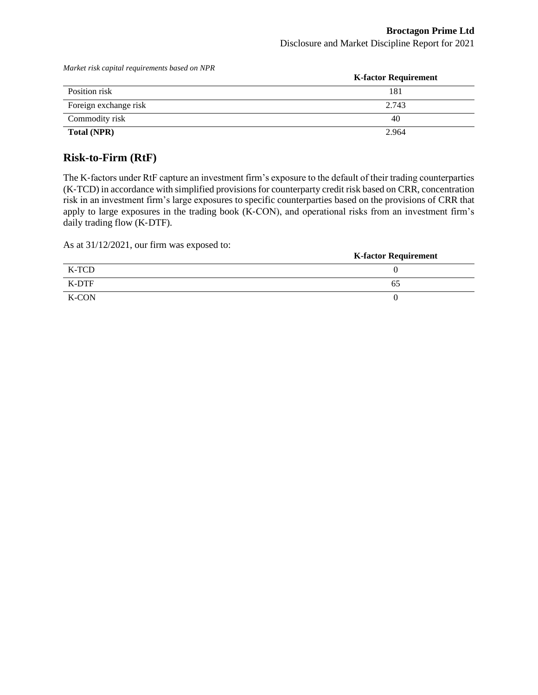|                       | <b>K-factor Requirement</b> |
|-----------------------|-----------------------------|
| Position risk         | 181                         |
| Foreign exchange risk | 2.743                       |
| Commodity risk        | 40                          |
| Total (NPR)           | 2.964                       |

*Market risk capital requirements based on NPR*

#### <span id="page-10-0"></span>**Risk-to-Firm (RtF)**

The K-factors under RtF capture an investment firm's exposure to the default of their trading counterparties (K‐TCD) in accordance with simplified provisions for counterparty credit risk based on CRR, concentration risk in an investment firm's large exposures to specific counterparties based on the provisions of CRR that apply to large exposures in the trading book (K‐CON), and operational risks from an investment firm's daily trading flow (K‐DTF).

As at 31/12/2021, our firm was exposed to:

| $\frac{1}{100}$ at $\frac{1}{21}$ $\frac{1}{100}$ $\frac{1}{20}$ $\frac{1}{20}$ , $\frac{1}{20}$ $\frac{1}{20}$ $\frac{1}{20}$ $\frac{1}{20}$ $\frac{1}{20}$ $\frac{1}{20}$ $\frac{1}{20}$ $\frac{1}{20}$ $\frac{1}{20}$ $\frac{1}{20}$ $\frac{1}{20}$ $\frac{1}{20}$ $\frac{1}{20}$ $\frac{1}{20}$ $\frac{1}{$ | <b>K-factor Requirement</b> |
|-----------------------------------------------------------------------------------------------------------------------------------------------------------------------------------------------------------------------------------------------------------------------------------------------------------------|-----------------------------|
| K-TCD                                                                                                                                                                                                                                                                                                           |                             |
| K-DTF                                                                                                                                                                                                                                                                                                           | 65                          |
| K-CON                                                                                                                                                                                                                                                                                                           |                             |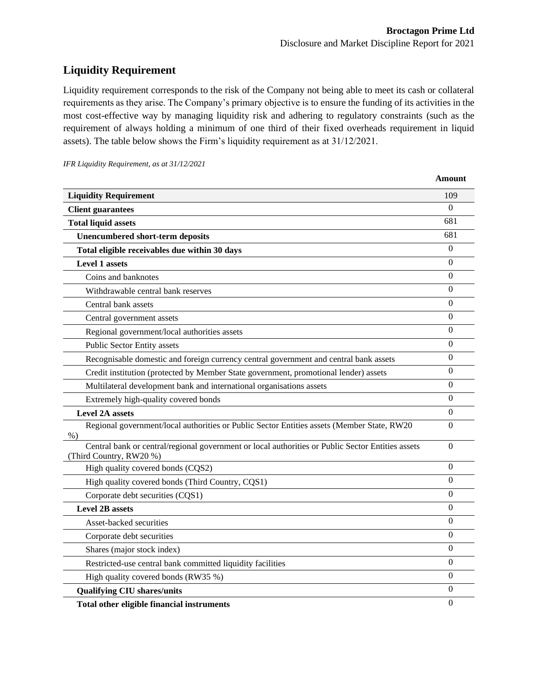**Amount**

### <span id="page-11-0"></span>**Liquidity Requirement**

Liquidity requirement corresponds to the risk of the Company not being able to meet its cash or collateral requirements as they arise. The Company's primary objective is to ensure the funding of its activities in the most cost-effective way by managing liquidity risk and adhering to regulatory constraints (such as the requirement of always holding a minimum of one third of their fixed overheads requirement in liquid assets). The table below shows the Firm's liquidity requirement as at 31/12/2021.

|  |  | IFR Liquidity Requirement, as at 31/12/2021 |  |  |
|--|--|---------------------------------------------|--|--|
|--|--|---------------------------------------------|--|--|

| <b>Liquidity Requirement</b>                                                                                                 | 109              |
|------------------------------------------------------------------------------------------------------------------------------|------------------|
| <b>Client guarantees</b>                                                                                                     | $\Omega$         |
| <b>Total liquid assets</b>                                                                                                   | 681              |
| <b>Unencumbered short-term deposits</b>                                                                                      | 681              |
| Total eligible receivables due within 30 days                                                                                | $\theta$         |
| <b>Level 1 assets</b>                                                                                                        | $\theta$         |
| Coins and banknotes                                                                                                          | $\theta$         |
| Withdrawable central bank reserves                                                                                           | $\theta$         |
| Central bank assets                                                                                                          | $\theta$         |
| Central government assets                                                                                                    | $\Omega$         |
| Regional government/local authorities assets                                                                                 | $\overline{0}$   |
| Public Sector Entity assets                                                                                                  | $\theta$         |
| Recognisable domestic and foreign currency central government and central bank assets                                        | $\theta$         |
| Credit institution (protected by Member State government, promotional lender) assets                                         | $\theta$         |
| Multilateral development bank and international organisations assets                                                         | $\theta$         |
| Extremely high-quality covered bonds                                                                                         | $\Omega$         |
| <b>Level 2A assets</b>                                                                                                       | $\boldsymbol{0}$ |
| Regional government/local authorities or Public Sector Entities assets (Member State, RW20<br>$%$ )                          | $\theta$         |
| Central bank or central/regional government or local authorities or Public Sector Entities assets<br>(Third Country, RW20 %) | $\overline{0}$   |
| High quality covered bonds (CQS2)                                                                                            | $\overline{0}$   |
| High quality covered bonds (Third Country, CQS1)                                                                             | $\theta$         |
| Corporate debt securities (CQS1)                                                                                             | $\Omega$         |
| <b>Level 2B assets</b>                                                                                                       | $\Omega$         |
| Asset-backed securities                                                                                                      | $\theta$         |
| Corporate debt securities                                                                                                    | $\mathbf{0}$     |
| Shares (major stock index)                                                                                                   | $\overline{0}$   |
| Restricted-use central bank committed liquidity facilities                                                                   | $\overline{0}$   |
| High quality covered bonds (RW35 %)                                                                                          | $\Omega$         |
| <b>Qualifying CIU shares/units</b>                                                                                           | $\boldsymbol{0}$ |
| Total other eligible financial instruments                                                                                   | $\overline{0}$   |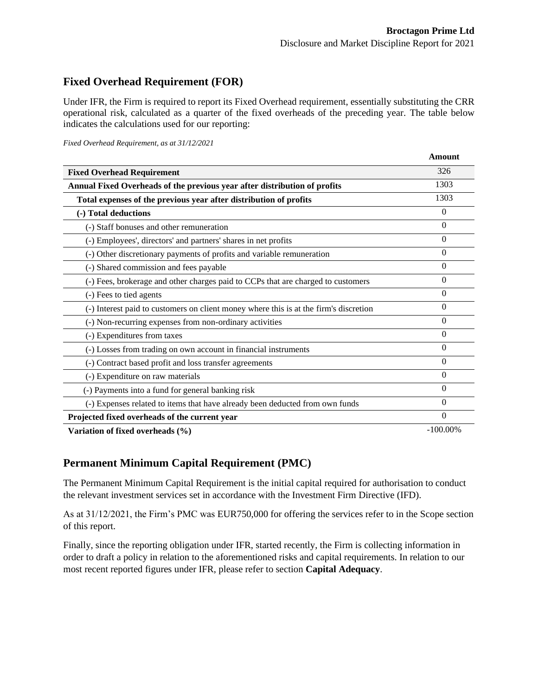### <span id="page-12-0"></span>**Fixed Overhead Requirement (FOR)**

Under IFR, the Firm is required to report its Fixed Overhead requirement, essentially substituting the CRR operational risk, calculated as a quarter of the fixed overheads of the preceding year. The table below indicates the calculations used for our reporting:

*Fixed Overhead Requirement, as at 31/12/2021*

|                                                                                       | <b>Amount</b> |
|---------------------------------------------------------------------------------------|---------------|
| <b>Fixed Overhead Requirement</b>                                                     | 326           |
| Annual Fixed Overheads of the previous year after distribution of profits             | 1303          |
| Total expenses of the previous year after distribution of profits                     | 1303          |
| (-) Total deductions                                                                  | $\Omega$      |
| (-) Staff bonuses and other remuneration                                              | 0             |
| (-) Employees', directors' and partners' shares in net profits                        | 0             |
| (-) Other discretionary payments of profits and variable remuneration                 | $\theta$      |
| (-) Shared commission and fees payable                                                | 0             |
| (-) Fees, brokerage and other charges paid to CCPs that are charged to customers      | $\theta$      |
| (-) Fees to tied agents                                                               | 0             |
| (-) Interest paid to customers on client money where this is at the firm's discretion | $\Omega$      |
| (-) Non-recurring expenses from non-ordinary activities                               | 0             |
| (-) Expenditures from taxes                                                           | 0             |
| (-) Losses from trading on own account in financial instruments                       | 0             |
| (-) Contract based profit and loss transfer agreements                                | 0             |
| (-) Expenditure on raw materials                                                      | $\Omega$      |
| (-) Payments into a fund for general banking risk                                     | 0             |
| (-) Expenses related to items that have already been deducted from own funds          | $\theta$      |
| Projected fixed overheads of the current year                                         | 0             |
| Variation of fixed overheads (%)                                                      | $-100.00\%$   |

### <span id="page-12-1"></span>**Permanent Minimum Capital Requirement (PMC)**

The Permanent Minimum Capital Requirement is the initial capital required for authorisation to conduct the relevant investment services set in accordance with the Investment Firm Directive (IFD).

As at 31/12/2021, the Firm's PMC was EUR750,000 for offering the services refer to in the Scope section of this report.

Finally, since the reporting obligation under IFR, started recently, the Firm is collecting information in order to draft a policy in relation to the aforementioned risks and capital requirements. In relation to our most recent reported figures under IFR, please refer to section **Capital Adequacy**.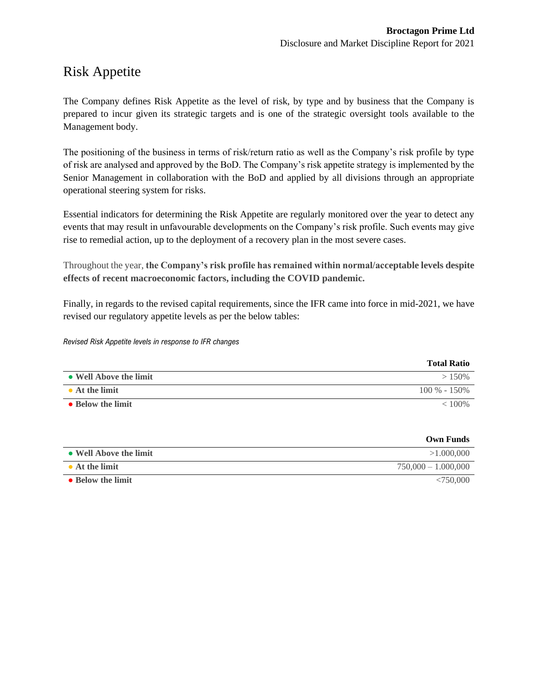## <span id="page-13-0"></span>Risk Appetite

The Company defines Risk Appetite as the level of risk, by type and by business that the Company is prepared to incur given its strategic targets and is one of the strategic oversight tools available to the Management body.

The positioning of the business in terms of risk/return ratio as well as the Company's risk profile by type of risk are analysed and approved by the BoD. The Company's risk appetite strategy is implemented by the Senior Management in collaboration with the BoD and applied by all divisions through an appropriate operational steering system for risks.

Essential indicators for determining the Risk Appetite are regularly monitored over the year to detect any events that may result in unfavourable developments on the Company's risk profile. Such events may give rise to remedial action, up to the deployment of a recovery plan in the most severe cases.

Throughout the year, **the Company's risk profile has remained within normal/acceptable levels despite effects of recent macroeconomic factors, including the COVID pandemic.** 

Finally, in regards to the revised capital requirements, since the IFR came into force in mid-2021, we have revised our regulatory appetite levels as per the below tables:

#### *Revised Risk Appetite levels in response to IFR changes*

|                        | <b>Total Ratio</b> |
|------------------------|--------------------|
| • Well Above the limit | $>150\%$           |
| $\bullet$ At the limit | $100\% - 150\%$    |
| • Below the limit      | $< 100\%$          |

|                        | <b>Own Funds</b>      |
|------------------------|-----------------------|
| • Well Above the limit | >1.000,000            |
| $\bullet$ At the limit | $750,000 - 1.000,000$ |
| • Below the limit      | <750.000              |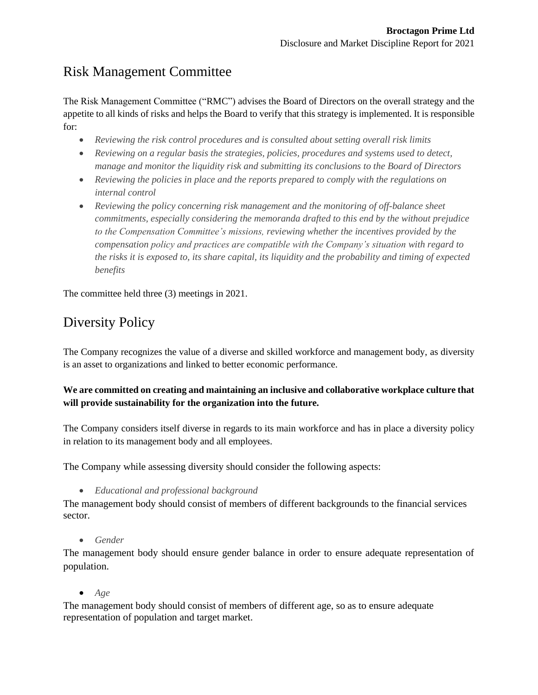## <span id="page-14-0"></span>Risk Management Committee

The Risk Management Committee ("RMC") advises the Board of Directors on the overall strategy and the appetite to all kinds of risks and helps the Board to verify that this strategy is implemented. It is responsible for:

- *Reviewing the risk control procedures and is consulted about setting overall risk limits*
- *Reviewing on a regular basis the strategies, policies, procedures and systems used to detect, manage and monitor the liquidity risk and submitting its conclusions to the Board of Directors*
- *Reviewing the policies in place and the reports prepared to comply with the regulations on internal control*
- *Reviewing the policy concerning risk management and the monitoring of off-balance sheet commitments, especially considering the memoranda drafted to this end by the without prejudice to the Compensation Committee's missions, reviewing whether the incentives provided by the compensation policy and practices are compatible with the Company's situation with regard to the risks it is exposed to, its share capital, its liquidity and the probability and timing of expected benefits*

The committee held three (3) meetings in 2021.

## <span id="page-14-1"></span>Diversity Policy

The Company recognizes the value of a diverse and skilled workforce and management body, as diversity is an asset to organizations and linked to better economic performance.

#### **We are committed on creating and maintaining an inclusive and collaborative workplace culture that will provide sustainability for the organization into the future.**

The Company considers itself diverse in regards to its main workforce and has in place a diversity policy in relation to its management body and all employees.

The Company while assessing diversity should consider the following aspects:

• *Educational and professional background* 

The management body should consist of members of different backgrounds to the financial services sector.

• *Gender* 

The management body should ensure gender balance in order to ensure adequate representation of population.

• *Age* 

The management body should consist of members of different age, so as to ensure adequate representation of population and target market.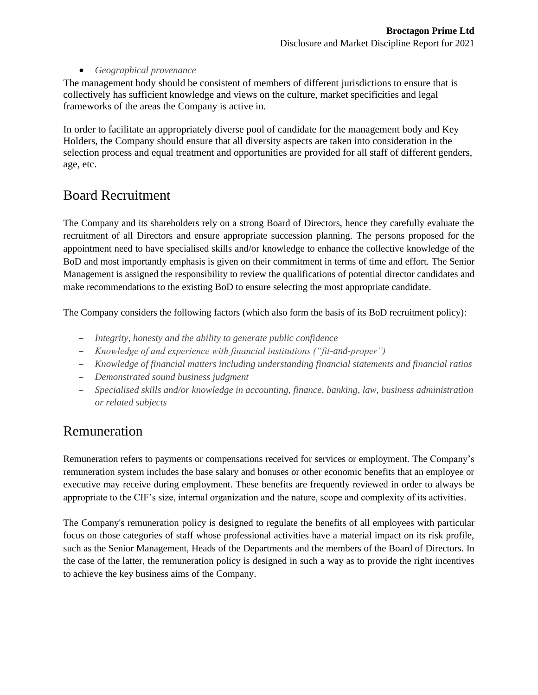#### • *Geographical provenance*

The management body should be consistent of members of different jurisdictions to ensure that is collectively has sufficient knowledge and views on the culture, market specificities and legal frameworks of the areas the Company is active in.

In order to facilitate an appropriately diverse pool of candidate for the management body and Key Holders, the Company should ensure that all diversity aspects are taken into consideration in the selection process and equal treatment and opportunities are provided for all staff of different genders, age, etc.

## <span id="page-15-0"></span>Board Recruitment

The Company and its shareholders rely on a strong Board of Directors, hence they carefully evaluate the recruitment of all Directors and ensure appropriate succession planning. The persons proposed for the appointment need to have specialised skills and/or knowledge to enhance the collective knowledge of the BoD and most importantly emphasis is given on their commitment in terms of time and effort. The Senior Management is assigned the responsibility to review the qualifications of potential director candidates and make recommendations to the existing BoD to ensure selecting the most appropriate candidate.

The Company considers the following factors (which also form the basis of its BoD recruitment policy):

- *Integrity, honesty and the ability to generate public confidence*
- *Knowledge of and experience with financial institutions ("fit-and-proper")*
- *Knowledge of financial matters including understanding financial statements and financial ratios*
- *Demonstrated sound business judgment*
- *Specialised skills and/or knowledge in accounting, finance, banking, law, business administration or related subjects*

## <span id="page-15-1"></span>Remuneration

Remuneration refers to payments or compensations received for services or employment. The Company's remuneration system includes the base salary and bonuses or other economic benefits that an employee or executive may receive during employment. These benefits are frequently reviewed in order to always be appropriate to the CIF's size, internal organization and the nature, scope and complexity of its activities.

The Company's remuneration policy is designed to regulate the benefits of all employees with particular focus on those categories of staff whose professional activities have a material impact on its risk profile, such as the Senior Management, Heads of the Departments and the members of the Board of Directors. In the case of the latter, the remuneration policy is designed in such a way as to provide the right incentives to achieve the key business aims of the Company.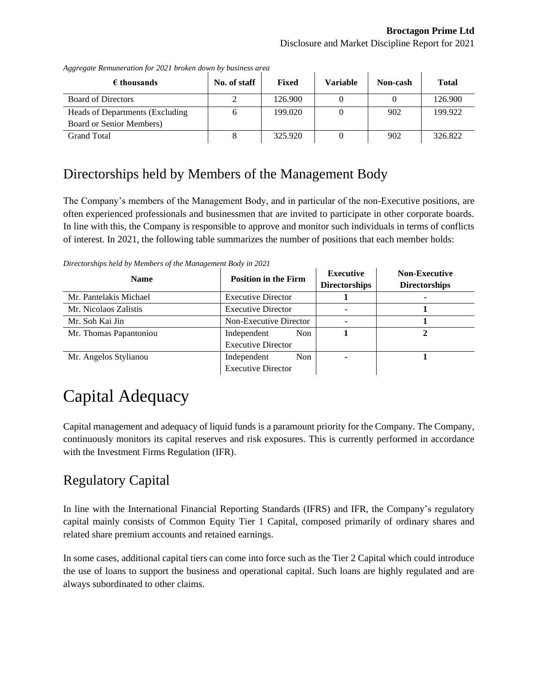$\mathbf{r}$ 

| $\epsilon$ thousands             | No. of staff | Fixed   | Variable | Non-cash | <b>Total</b> |
|----------------------------------|--------------|---------|----------|----------|--------------|
| <b>Board of Directors</b>        |              | 126.900 |          |          | 126.900      |
| Heads of Departments (Excluding) |              | 199.020 |          | 902      | 199.922      |
| Board or Senior Members)         |              |         |          |          |              |
| <b>Grand Total</b>               |              | 325.920 |          | 902      | 326.822      |

*Aggregate Remuneration for 2021 broken down by business area*

### <span id="page-16-0"></span>Directorships held by Members of the Management Body

The Company's members of the Management Body, and in particular of the non-Executive positions, are often experienced professionals and businessmen that are invited to participate in other corporate boards. In line with this, the Company is responsible to approve and monitor such individuals in terms of conflicts of interest. In 2021, the following table summarizes the number of positions that each member holds:

*Directorships held by Members of the Management Body in 2021*

| <b>Name</b>            | <b>Position in the Firm</b> | <b>Executive</b><br><b>Directorships</b> | <b>Non-Executive</b><br><b>Directorships</b> |
|------------------------|-----------------------------|------------------------------------------|----------------------------------------------|
| Mr. Pantelakis Michael | <b>Executive Director</b>   |                                          |                                              |
| Mr. Nicolaos Zalistis  | <b>Executive Director</b>   | ۰                                        |                                              |
| Mr. Soh Kai Jin        | Non-Executive Director      | ۰                                        |                                              |
| Mr. Thomas Papantoniou | Non.<br>Independent         |                                          |                                              |
|                        | <b>Executive Director</b>   |                                          |                                              |
| Mr. Angelos Stylianou  | Independent<br>Non.         |                                          |                                              |
|                        | <b>Executive Director</b>   |                                          |                                              |

# <span id="page-16-1"></span>Capital Adequacy

Capital management and adequacy of liquid funds is a paramount priority for the Company. The Company, continuously monitors its capital reserves and risk exposures. This is currently performed in accordance with the Investment Firms Regulation (IFR).

## <span id="page-16-2"></span>Regulatory Capital

In line with the International Financial Reporting Standards (IFRS) and IFR, the Company's regulatory capital mainly consists of Common Equity Tier 1 Capital, composed primarily of ordinary shares and related share premium accounts and retained earnings.

In some cases, additional capital tiers can come into force such as the Tier 2 Capital which could introduce the use of loans to support the business and operational capital. Such loans are highly regulated and are always subordinated to other claims.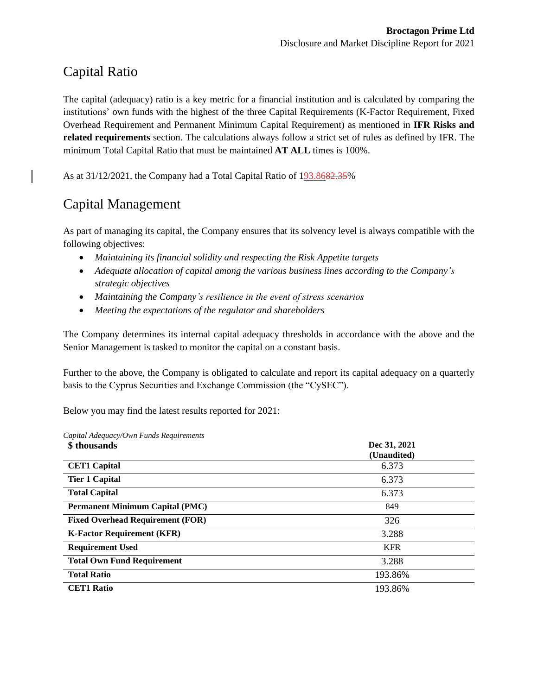## <span id="page-17-0"></span>Capital Ratio

The capital (adequacy) ratio is a key metric for a financial institution and is calculated by comparing the institutions' own funds with the highest of the three Capital Requirements (K-Factor Requirement, Fixed Overhead Requirement and Permanent Minimum Capital Requirement) as mentioned in **IFR Risks and related requirements** section. The calculations always follow a strict set of rules as defined by IFR. The minimum Total Capital Ratio that must be maintained **AT ALL** times is 100%.

As at 31/12/2021, the Company had a Total Capital Ratio of 193.8682.35%

## <span id="page-17-1"></span>Capital Management

As part of managing its capital, the Company ensures that its solvency level is always compatible with the following objectives:

- Maintaining its financial solidity and respecting the Risk Appetite targets
- *Adequate allocation of capital among the various business lines according to the Company's strategic objectives*
- *Maintaining the Company's resilience in the event of stress scenarios*
- *Meeting the expectations of the regulator and shareholders*

The Company determines its internal capital adequacy thresholds in accordance with the above and the Senior Management is tasked to monitor the capital on a constant basis.

Further to the above, the Company is obligated to calculate and report its capital adequacy on a quarterly basis to the Cyprus Securities and Exchange Commission (the "CySEC").

Below you may find the latest results reported for 2021:

| Capital Adequacy/Own Funds Requirements |              |
|-----------------------------------------|--------------|
| \$thousands                             | Dec 31, 2021 |
|                                         | (Unaudited)  |
| <b>CET1 Capital</b>                     | 6.373        |
| <b>Tier 1 Capital</b>                   | 6.373        |
| <b>Total Capital</b>                    | 6.373        |
| <b>Permanent Minimum Capital (PMC)</b>  | 849          |
| <b>Fixed Overhead Requirement (FOR)</b> | 326          |
| <b>K-Factor Requirement (KFR)</b>       | 3.288        |
| <b>Requirement Used</b>                 | <b>KFR</b>   |
| <b>Total Own Fund Requirement</b>       | 3.288        |
| <b>Total Ratio</b>                      | 193.86%      |
| <b>CET1 Ratio</b>                       | 193.86%      |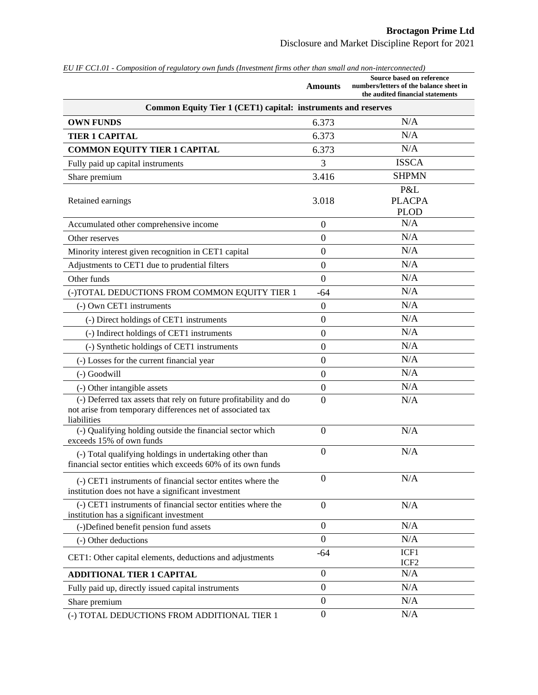| EU IF CC1.01 - Composition of regulatory own funds (Investment firms other man small and non-interconnected)                                               | <b>Amounts</b>   | Source based on reference<br>numbers/letters of the balance sheet in<br>the audited financial statements |  |  |
|------------------------------------------------------------------------------------------------------------------------------------------------------------|------------------|----------------------------------------------------------------------------------------------------------|--|--|
| Common Equity Tier 1 (CET1) capital: instruments and reserves                                                                                              |                  |                                                                                                          |  |  |
| <b>OWN FUNDS</b>                                                                                                                                           | 6.373            | N/A                                                                                                      |  |  |
| <b>TIER 1 CAPITAL</b>                                                                                                                                      | 6.373            | N/A                                                                                                      |  |  |
| <b>COMMON EQUITY TIER 1 CAPITAL</b>                                                                                                                        | 6.373            | N/A                                                                                                      |  |  |
| Fully paid up capital instruments                                                                                                                          | 3                | <b>ISSCA</b>                                                                                             |  |  |
| Share premium                                                                                                                                              | 3.416            | <b>SHPMN</b>                                                                                             |  |  |
| Retained earnings                                                                                                                                          | 3.018            | P&L<br><b>PLACPA</b><br><b>PLOD</b>                                                                      |  |  |
| Accumulated other comprehensive income                                                                                                                     | $\mathbf{0}$     | N/A                                                                                                      |  |  |
| Other reserves                                                                                                                                             | $\mathbf{0}$     | N/A                                                                                                      |  |  |
| Minority interest given recognition in CET1 capital                                                                                                        | $\overline{0}$   | N/A                                                                                                      |  |  |
| Adjustments to CET1 due to prudential filters                                                                                                              | $\boldsymbol{0}$ | N/A                                                                                                      |  |  |
| Other funds                                                                                                                                                | $\overline{0}$   | N/A                                                                                                      |  |  |
| (-)TOTAL DEDUCTIONS FROM COMMON EQUITY TIER 1                                                                                                              | $-64$            | N/A                                                                                                      |  |  |
| (-) Own CET1 instruments                                                                                                                                   | $\overline{0}$   | N/A                                                                                                      |  |  |
| (-) Direct holdings of CET1 instruments                                                                                                                    | $\mathbf{0}$     | N/A                                                                                                      |  |  |
| (-) Indirect holdings of CET1 instruments                                                                                                                  | $\mathbf{0}$     | N/A                                                                                                      |  |  |
| (-) Synthetic holdings of CET1 instruments                                                                                                                 | $\mathbf{0}$     | N/A                                                                                                      |  |  |
| (-) Losses for the current financial year                                                                                                                  | $\boldsymbol{0}$ | N/A                                                                                                      |  |  |
| (-) Goodwill                                                                                                                                               | $\overline{0}$   | N/A                                                                                                      |  |  |
| (-) Other intangible assets                                                                                                                                | $\boldsymbol{0}$ | N/A                                                                                                      |  |  |
| $\overline{(-)}$ Deferred tax assets that rely on future profitability and do<br>not arise from temporary differences net of associated tax<br>liabilities | $\overline{0}$   | N/A                                                                                                      |  |  |
| (-) Qualifying holding outside the financial sector which<br>exceeds 15% of own funds                                                                      | $\overline{0}$   | N/A                                                                                                      |  |  |
| (-) Total qualifying holdings in undertaking other than<br>financial sector entities which exceeds 60% of its own funds                                    | $\overline{0}$   | N/A                                                                                                      |  |  |
| (-) CET1 instruments of financial sector entites where the<br>institution does not have a significant investment                                           | $\overline{0}$   | N/A                                                                                                      |  |  |
| (-) CET1 instruments of financial sector entities where the<br>institution has a significant investment                                                    | $\boldsymbol{0}$ | N/A                                                                                                      |  |  |
| (-)Defined benefit pension fund assets                                                                                                                     | $\overline{0}$   | N/A                                                                                                      |  |  |
| (-) Other deductions                                                                                                                                       | $\overline{0}$   | N/A                                                                                                      |  |  |
| CET1: Other capital elements, deductions and adjustments                                                                                                   | $-64$            | ICF1<br>ICF <sub>2</sub>                                                                                 |  |  |
| <b>ADDITIONAL TIER 1 CAPITAL</b>                                                                                                                           | $\boldsymbol{0}$ | N/A                                                                                                      |  |  |
| Fully paid up, directly issued capital instruments                                                                                                         | $\mathbf{0}$     | N/A                                                                                                      |  |  |
| Share premium                                                                                                                                              | $\boldsymbol{0}$ | N/A                                                                                                      |  |  |
| (-) TOTAL DEDUCTIONS FROM ADDITIONAL TIER 1                                                                                                                | $\overline{0}$   | N/A                                                                                                      |  |  |

*EU IF CC1.01 - Composition of regulatory own funds (Investment firms other than small and non-interconnected)*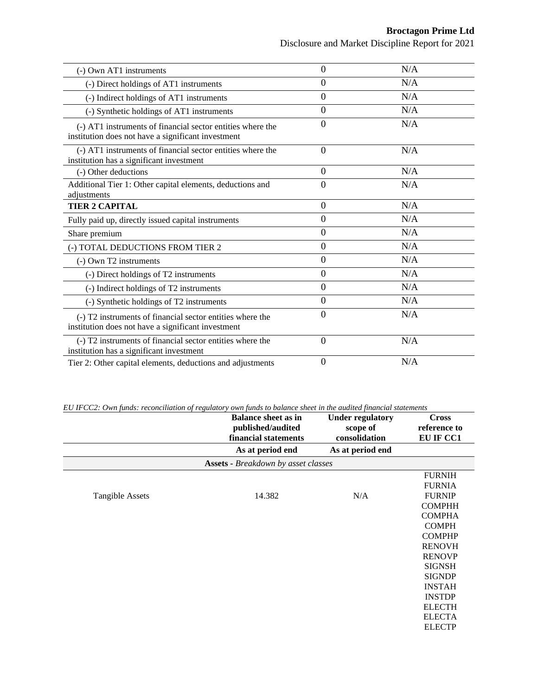Disclosure and Market Discipline Report for 2021

| (-) Own AT1 instruments                                                                                          | $\Omega$       | N/A |
|------------------------------------------------------------------------------------------------------------------|----------------|-----|
| (-) Direct holdings of AT1 instruments                                                                           | $\Omega$       | N/A |
| (-) Indirect holdings of AT1 instruments                                                                         | $\overline{0}$ | N/A |
| (-) Synthetic holdings of AT1 instruments                                                                        | $\overline{0}$ | N/A |
| (-) AT1 instruments of financial sector entities where the<br>institution does not have a significant investment | $\Omega$       | N/A |
| (-) AT1 instruments of financial sector entities where the<br>institution has a significant investment           | $\overline{0}$ | N/A |
| (-) Other deductions                                                                                             | $\Omega$       | N/A |
| Additional Tier 1: Other capital elements, deductions and<br>adjustments                                         | $\Omega$       | N/A |
| <b>TIER 2 CAPITAL</b>                                                                                            | $\overline{0}$ | N/A |
| Fully paid up, directly issued capital instruments                                                               | $\overline{0}$ | N/A |
| Share premium                                                                                                    | $\Omega$       | N/A |
| (-) TOTAL DEDUCTIONS FROM TIER 2                                                                                 | $\theta$       | N/A |
| (-) Own T2 instruments                                                                                           | $\Omega$       | N/A |
| (-) Direct holdings of T2 instruments                                                                            | $\overline{0}$ | N/A |
| (-) Indirect holdings of T2 instruments                                                                          | $\Omega$       | N/A |
| (-) Synthetic holdings of T2 instruments                                                                         | $\overline{0}$ | N/A |
| (-) T2 instruments of financial sector entities where the<br>institution does not have a significant investment  | $\Omega$       | N/A |
| (-) T2 instruments of financial sector entities where the<br>institution has a significant investment            | $\Omega$       | N/A |
| Tier 2: Other capital elements, deductions and adjustments                                                       | $\theta$       | N/A |

*EU IFCC2: Own funds: reconciliation of regulatory own funds to balance sheet in the audited financial statements*

|                        | <b>Balance sheet as in</b><br>published/audited<br>financial statements | <b>Under regulatory</b><br>scope of<br>consolidation | <b>Cross</b><br>reference to<br>EU IF CC1 |
|------------------------|-------------------------------------------------------------------------|------------------------------------------------------|-------------------------------------------|
|                        | As at period end                                                        | As at period end                                     |                                           |
|                        | <b>Assets - Breakdown by asset classes</b>                              |                                                      |                                           |
|                        |                                                                         |                                                      | <b>FURNIH</b>                             |
|                        |                                                                         |                                                      | <b>FURNIA</b>                             |
| <b>Tangible Assets</b> | 14.382                                                                  | N/A                                                  | <b>FURNIP</b>                             |
|                        |                                                                         |                                                      | <b>COMPHH</b>                             |
|                        |                                                                         |                                                      | <b>COMPHA</b>                             |
|                        |                                                                         |                                                      | <b>COMPH</b>                              |
|                        |                                                                         |                                                      | <b>COMPHP</b>                             |
|                        |                                                                         |                                                      | <b>RENOVH</b>                             |
|                        |                                                                         |                                                      | <b>RENOVP</b>                             |
|                        |                                                                         |                                                      | <b>SIGNSH</b>                             |
|                        |                                                                         |                                                      | <b>SIGNDP</b>                             |
|                        |                                                                         |                                                      | <b>INSTAH</b>                             |
|                        |                                                                         |                                                      | <b>INSTDP</b>                             |
|                        |                                                                         |                                                      | <b>ELECTH</b>                             |
|                        |                                                                         |                                                      | <b>ELECTA</b>                             |
|                        |                                                                         |                                                      | <b>ELECTP</b>                             |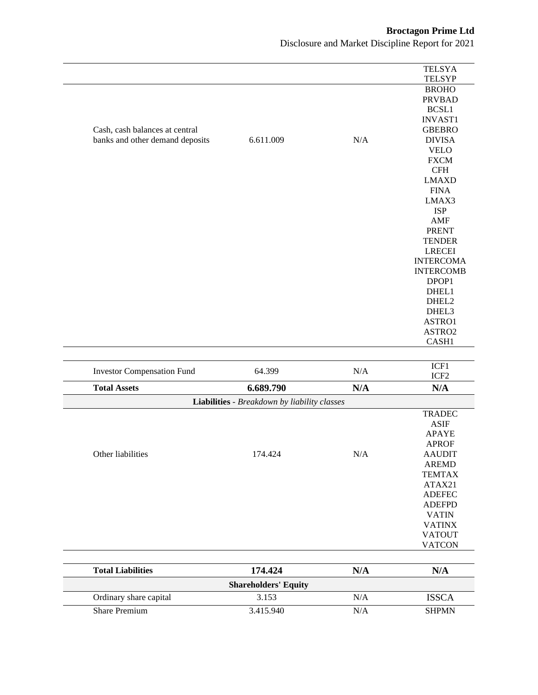|                                   |                                              |           | <b>TELSYA</b>               |
|-----------------------------------|----------------------------------------------|-----------|-----------------------------|
|                                   |                                              |           | <b>TELSYP</b>               |
|                                   |                                              |           | <b>BROHO</b>                |
|                                   |                                              |           | <b>PRVBAD</b>               |
|                                   |                                              |           | BCSL1                       |
|                                   |                                              |           | <b>INVAST1</b>              |
| Cash, cash balances at central    |                                              |           | <b>GBEBRO</b>               |
| banks and other demand deposits   | 6.611.009                                    | $\rm N/A$ | <b>DIVISA</b>               |
|                                   |                                              |           | <b>VELO</b>                 |
|                                   |                                              |           | <b>FXCM</b>                 |
|                                   |                                              |           | $\operatorname{CFH}$        |
|                                   |                                              |           | <b>LMAXD</b><br><b>FINA</b> |
|                                   |                                              |           | LMAX3                       |
|                                   |                                              |           | <b>ISP</b>                  |
|                                   |                                              |           | <b>AMF</b>                  |
|                                   |                                              |           | <b>PRENT</b>                |
|                                   |                                              |           | <b>TENDER</b>               |
|                                   |                                              |           | <b>LRECEI</b>               |
|                                   |                                              |           | <b>INTERCOMA</b>            |
|                                   |                                              |           | <b>INTERCOMB</b>            |
|                                   |                                              |           | DPOP1                       |
|                                   |                                              |           | DHEL1                       |
|                                   |                                              |           | DHEL2                       |
|                                   |                                              |           | DHEL3                       |
|                                   |                                              |           | ASTRO1                      |
|                                   |                                              |           | ASTRO2                      |
|                                   |                                              |           | CASH1                       |
|                                   |                                              |           |                             |
| <b>Investor Compensation Fund</b> | 64.399                                       | N/A       | ICF1                        |
| <b>Total Assets</b>               | 6.689.790                                    | N/A       | ICF <sub>2</sub><br>N/A     |
|                                   | Liabilities - Breakdown by liability classes |           |                             |
|                                   |                                              |           | <b>TRADEC</b>               |
|                                   |                                              |           | <b>ASIF</b>                 |
|                                   |                                              |           | <b>APAYE</b>                |
|                                   |                                              |           | <b>APROF</b>                |
| Other liabilities                 | 174.424                                      | N/A       | <b>AAUDIT</b>               |
|                                   |                                              |           | <b>AREMD</b>                |
|                                   |                                              |           | <b>TEMTAX</b>               |
|                                   |                                              |           | ATAX21                      |
|                                   |                                              |           | <b>ADEFEC</b>               |
|                                   |                                              |           | <b>ADEFPD</b>               |
|                                   |                                              |           | <b>VATIN</b>                |
|                                   |                                              |           | <b>VATINX</b>               |
|                                   |                                              |           | <b>VATOUT</b>               |
|                                   |                                              |           | <b>VATCON</b>               |
|                                   |                                              |           |                             |
| <b>Total Liabilities</b>          | 174.424                                      | N/A       | N/A                         |
| Ordinary share capital            | <b>Shareholders' Equity</b><br>3.153         | $\rm N/A$ |                             |
|                                   |                                              |           | <b>ISSCA</b>                |
| <b>Share Premium</b>              | 3.415.940                                    | $\rm N/A$ | <b>SHPMN</b>                |
|                                   |                                              |           |                             |

Disclosure and Market Discipline Report for 2021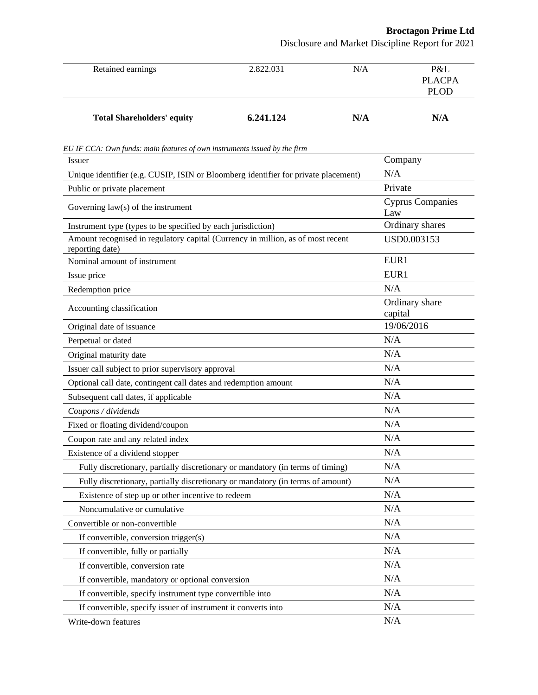Disclosure and Market Discipline Report for 2021

| Retained earnings                                                                                  | 2.822.031 | N/A | P&L<br><b>PLACPA</b><br><b>PLOD</b> |
|----------------------------------------------------------------------------------------------------|-----------|-----|-------------------------------------|
| <b>Total Shareholders' equity</b>                                                                  | 6.241.124 | N/A | N/A                                 |
| EU IF CCA: Own funds: main features of own instruments issued by the firm                          |           |     |                                     |
| Issuer                                                                                             |           |     | Company                             |
| Unique identifier (e.g. CUSIP, ISIN or Bloomberg identifier for private placement)                 |           |     | N/A                                 |
| Public or private placement                                                                        |           |     | Private                             |
| Governing $law(s)$ of the instrument                                                               |           |     | <b>Cyprus Companies</b><br>Law      |
| Instrument type (types to be specified by each jurisdiction)                                       |           |     | Ordinary shares                     |
| Amount recognised in regulatory capital (Currency in million, as of most recent<br>reporting date) |           |     | USD0.003153                         |
| Nominal amount of instrument                                                                       |           |     | EUR1                                |
| Issue price                                                                                        |           |     | EUR1                                |
| Redemption price                                                                                   |           |     | N/A                                 |
| Accounting classification                                                                          |           |     | Ordinary share<br>capital           |
| Original date of issuance                                                                          |           |     | 19/06/2016                          |
| Perpetual or dated                                                                                 |           |     | N/A                                 |
| Original maturity date                                                                             |           |     | N/A                                 |
| Issuer call subject to prior supervisory approval                                                  |           |     | N/A                                 |
| Optional call date, contingent call dates and redemption amount                                    |           |     | N/A                                 |
| Subsequent call dates, if applicable                                                               |           |     | N/A                                 |
| Coupons / dividends                                                                                |           |     | N/A                                 |
| Fixed or floating dividend/coupon                                                                  |           |     | N/A                                 |
| Coupon rate and any related index                                                                  |           |     | N/A                                 |
| Existence of a dividend stopper                                                                    |           |     | N/A                                 |
| Fully discretionary, partially discretionary or mandatory (in terms of timing)                     |           |     | N/A                                 |
| Fully discretionary, partially discretionary or mandatory (in terms of amount)                     |           |     | N/A                                 |
| Existence of step up or other incentive to redeem                                                  |           |     | N/A                                 |
| Noncumulative or cumulative                                                                        |           |     | N/A                                 |
| Convertible or non-convertible                                                                     |           |     | N/A                                 |
| If convertible, conversion trigger(s)                                                              |           |     | N/A                                 |
| If convertible, fully or partially                                                                 |           |     | N/A                                 |
| If convertible, conversion rate                                                                    |           |     | N/A                                 |
| If convertible, mandatory or optional conversion                                                   |           |     | N/A                                 |
| If convertible, specify instrument type convertible into                                           |           |     | N/A                                 |
| If convertible, specify issuer of instrument it converts into                                      |           |     | N/A                                 |
| Write-down features                                                                                |           |     | N/A                                 |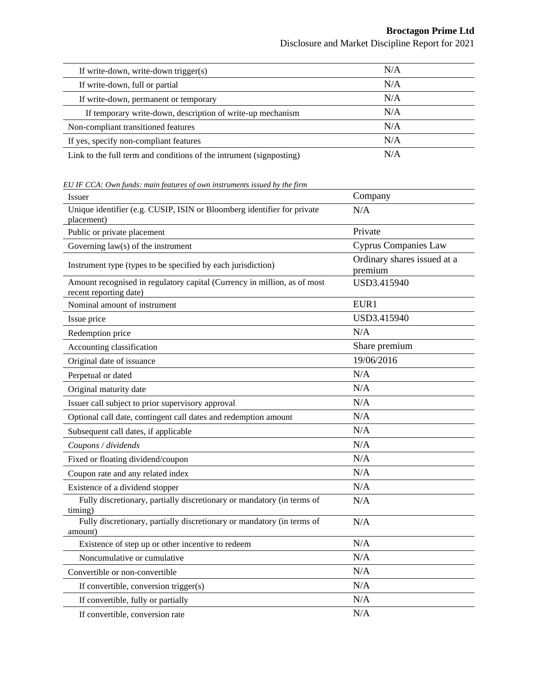Disclosure and Market Discipline Report for 2021

| If write-down, write-down trigger(s)                                | N/A |  |
|---------------------------------------------------------------------|-----|--|
| If write-down, full or partial                                      | N/A |  |
| If write-down, permanent or temporary                               | N/A |  |
| If temporary write-down, description of write-up mechanism          | N/A |  |
| Non-compliant transitioned features                                 | N/A |  |
| If yes, specify non-compliant features                              | N/A |  |
| Link to the full term and conditions of the intrument (signposting) | N/A |  |

*EU IF CCA: Own funds: main features of own instruments issued by the firm*

| Issuer                                                                                             | Company                                |
|----------------------------------------------------------------------------------------------------|----------------------------------------|
| Unique identifier (e.g. CUSIP, ISIN or Bloomberg identifier for private<br>placement)              | N/A                                    |
| Public or private placement                                                                        | Private                                |
| Governing $law(s)$ of the instrument                                                               | <b>Cyprus Companies Law</b>            |
| Instrument type (types to be specified by each jurisdiction)                                       | Ordinary shares issued at a<br>premium |
| Amount recognised in regulatory capital (Currency in million, as of most<br>recent reporting date) | USD3.415940                            |
| Nominal amount of instrument                                                                       | EUR1                                   |
| Issue price                                                                                        | USD3.415940                            |
| Redemption price                                                                                   | N/A                                    |
| Accounting classification                                                                          | Share premium                          |
| Original date of issuance                                                                          | 19/06/2016                             |
| Perpetual or dated                                                                                 | N/A                                    |
| Original maturity date                                                                             | N/A                                    |
| Issuer call subject to prior supervisory approval                                                  | N/A                                    |
| Optional call date, contingent call dates and redemption amount                                    | N/A                                    |
| Subsequent call dates, if applicable                                                               | N/A                                    |
| Coupons / dividends                                                                                | N/A                                    |
| Fixed or floating dividend/coupon                                                                  | N/A                                    |
| Coupon rate and any related index                                                                  | N/A                                    |
| Existence of a dividend stopper                                                                    | N/A                                    |
| Fully discretionary, partially discretionary or mandatory (in terms of<br>timing)                  | N/A                                    |
| Fully discretionary, partially discretionary or mandatory (in terms of<br>amount)                  | N/A                                    |
| Existence of step up or other incentive to redeem                                                  | N/A                                    |
| Noncumulative or cumulative                                                                        | N/A                                    |
| Convertible or non-convertible                                                                     | N/A                                    |
| If convertible, conversion trigger(s)                                                              | N/A                                    |
| If convertible, fully or partially                                                                 | N/A                                    |
| If convertible, conversion rate                                                                    | N/A                                    |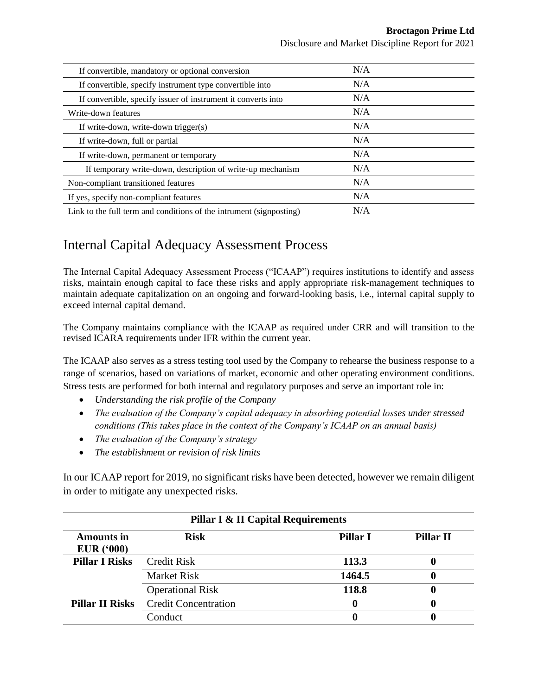Disclosure and Market Discipline Report for 2021

| If convertible, mandatory or optional conversion                    | N/A |
|---------------------------------------------------------------------|-----|
| If convertible, specify instrument type convertible into            | N/A |
| If convertible, specify issuer of instrument it converts into       | N/A |
| Write-down features                                                 | N/A |
| If write-down, write-down trigger(s)                                | N/A |
| If write-down, full or partial                                      | N/A |
| If write-down, permanent or temporary                               | N/A |
| If temporary write-down, description of write-up mechanism          | N/A |
| Non-compliant transitioned features                                 | N/A |
| If yes, specify non-compliant features                              | N/A |
| Link to the full term and conditions of the intrument (signposting) | N/A |

## <span id="page-23-0"></span>Internal Capital Adequacy Assessment Process

The Internal Capital Adequacy Assessment Process ("ICAAP") requires institutions to identify and assess risks, maintain enough capital to face these risks and apply appropriate risk-management techniques to maintain adequate capitalization on an ongoing and forward-looking basis, i.e., internal capital supply to exceed internal capital demand.

The Company maintains compliance with the ICAAP as required under CRR and will transition to the revised ICARA requirements under IFR within the current year.

The ICAAP also serves as a stress testing tool used by the Company to rehearse the business response to a range of scenarios, based on variations of market, economic and other operating environment conditions. Stress tests are performed for both internal and regulatory purposes and serve an important role in:

- *Understanding the risk profile of the Company*
- *The evaluation of the Company's capital adequacy in absorbing potential losses under stressed conditions (This takes place in the context of the Company's ICAAP on an annual basis)*
- *The evaluation of the Company's strategy*
- *The establishment or revision of risk limits*

In our ICAAP report for 2019, no significant risks have been detected, however we remain diligent in order to mitigate any unexpected risks.

| <b>Pillar I &amp; II Capital Requirements</b> |                             |                 |                  |  |  |
|-----------------------------------------------|-----------------------------|-----------------|------------------|--|--|
| <b>Amounts in</b><br>EUR(000)                 | <b>Risk</b>                 | <b>Pillar I</b> | <b>Pillar II</b> |  |  |
| <b>Pillar I Risks</b>                         | <b>Credit Risk</b>          | 113.3           |                  |  |  |
|                                               | <b>Market Risk</b>          | 1464.5          |                  |  |  |
|                                               | <b>Operational Risk</b>     | 118.8           |                  |  |  |
| <b>Pillar II Risks</b>                        | <b>Credit Concentration</b> |                 |                  |  |  |
|                                               | Conduct                     |                 |                  |  |  |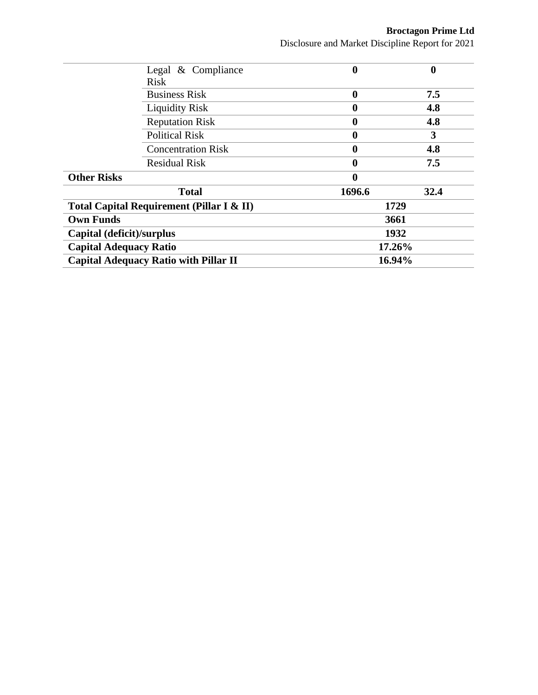**Broctagon Prime Ltd** Disclosure and Market Discipline Report for 2021

| 0                | $\boldsymbol{0}$ |
|------------------|------------------|
|                  |                  |
| $\bf{0}$         | 7.5              |
| 0                | 4.8              |
| $\boldsymbol{0}$ | 4.8              |
| 0                | 3                |
| 0                | 4.8              |
| 0                | 7.5              |
| 0                |                  |
| 1696.6           | 32.4             |
| 1729             |                  |
| 3661             |                  |
| 1932             |                  |
| 17.26%           |                  |
| 16.94%           |                  |
|                  |                  |

í.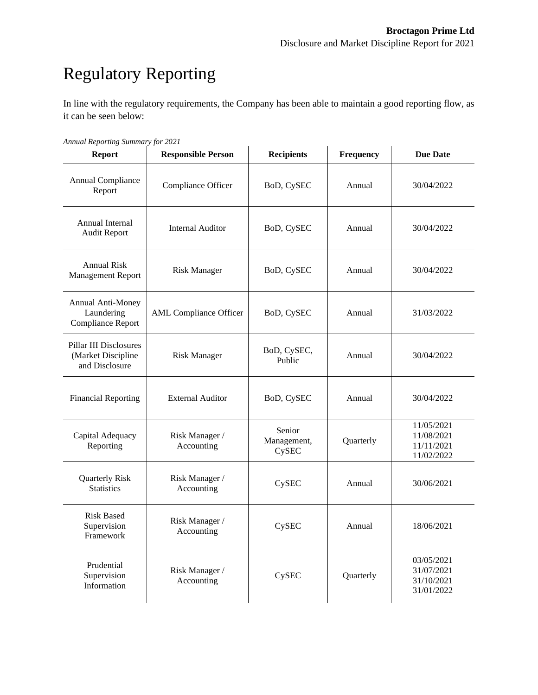# <span id="page-25-0"></span>Regulatory Reporting

In line with the regulatory requirements, the Company has been able to maintain a good reporting flow, as it can be seen below:

| <b>Report</b>                                                         | <b>Responsible Person</b>     | <b>Recipients</b>              | Frequency | <b>Due Date</b>                                      |
|-----------------------------------------------------------------------|-------------------------------|--------------------------------|-----------|------------------------------------------------------|
| Annual Compliance<br>Report                                           | Compliance Officer            | BoD, CySEC                     | Annual    | 30/04/2022                                           |
| Annual Internal<br><b>Audit Report</b>                                | <b>Internal Auditor</b>       | BoD, CySEC                     | Annual    | 30/04/2022                                           |
| <b>Annual Risk</b><br><b>Management Report</b>                        | <b>Risk Manager</b>           | BoD, CySEC                     | Annual    | 30/04/2022                                           |
| Annual Anti-Money<br>Laundering<br>Compliance Report                  | <b>AML</b> Compliance Officer | BoD, CySEC                     | Annual    | 31/03/2022                                           |
| <b>Pillar III Disclosures</b><br>(Market Discipline<br>and Disclosure | <b>Risk Manager</b>           | BoD, CySEC,<br>Public          | Annual    | 30/04/2022                                           |
| <b>Financial Reporting</b>                                            | <b>External Auditor</b>       | BoD, CySEC                     | Annual    | 30/04/2022                                           |
| Capital Adequacy<br>Reporting                                         | Risk Manager /<br>Accounting  | Senior<br>Management,<br>CySEC | Quarterly | 11/05/2021<br>11/08/2021<br>11/11/2021<br>11/02/2022 |
| <b>Quarterly Risk</b><br><b>Statistics</b>                            | Risk Manager /<br>Accounting  | CySEC                          | Annual    | 30/06/2021                                           |
| <b>Risk Based</b><br>Supervision<br>Framework                         | Risk Manager /<br>Accounting  | CySEC                          | Annual    | 18/06/2021                                           |
| Prudential<br>Supervision<br>Information                              | Risk Manager /<br>Accounting  | CySEC                          | Quarterly | 03/05/2021<br>31/07/2021<br>31/10/2021<br>31/01/2022 |

*Annual Reporting Summary for 2021*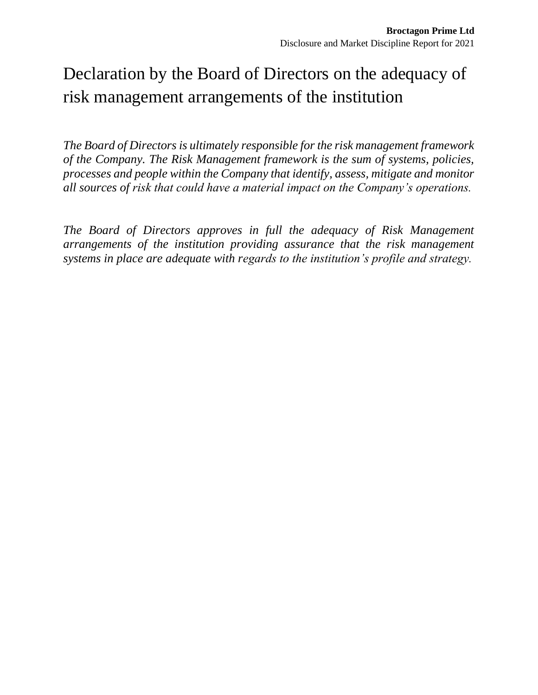# <span id="page-26-0"></span>Declaration by the Board of Directors on the adequacy of risk management arrangements of the institution

*The Board of Directors is ultimately responsible for the risk management framework of the Company. The Risk Management framework is the sum of systems, policies, processes and people within the Company that identify, assess, mitigate and monitor all sources of risk that could have a material impact on the Company's operations.*

*The Board of Directors approves in full the adequacy of Risk Management arrangements of the institution providing assurance that the risk management systems in place are adequate with regards to the institution's profile and strategy.*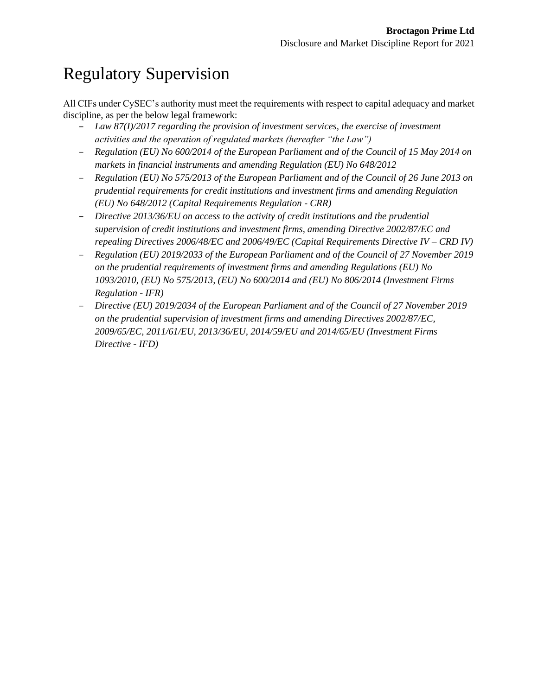# <span id="page-27-0"></span>Regulatory Supervision

All CIFs under CySEC's authority must meet the requirements with respect to capital adequacy and market discipline, as per the below legal framework:

- *Law 87(I)/2017 regarding the provision of investment services, the exercise of investment activities and the operation of regulated markets (hereafter "the Law")*
- *Regulation (EU) No 600/2014 of the European Parliament and of the Council of 15 May 2014 on markets in financial instruments and amending Regulation (EU) No 648/2012*
- *Regulation (EU) No 575/2013 of the European Parliament and of the Council of 26 June 2013 on prudential requirements for credit institutions and investment firms and amending Regulation (EU) No 648/2012 (Capital Requirements Regulation - CRR)*
- *Directive 2013/36/EU on access to the activity of credit institutions and the prudential supervision of credit institutions and investment firms, amending Directive 2002/87/EC and repealing Directives 2006/48/EC and 2006/49/EC (Capital Requirements Directive IV – CRD IV)*
- *Regulation (EU) 2019/2033 of the European Parliament and of the Council of 27 November 2019 on the prudential requirements of investment firms and amending Regulations (EU) No 1093/2010, (EU) No 575/2013, (EU) No 600/2014 and (EU) No 806/2014 (Investment Firms Regulation - IFR)*
- *Directive (EU) 2019/2034 of the European Parliament and of the Council of 27 November 2019 on the prudential supervision of investment firms and amending Directives 2002/87/EC, 2009/65/EC, 2011/61/EU, 2013/36/EU, 2014/59/EU and 2014/65/EU (Investment Firms Directive - IFD)*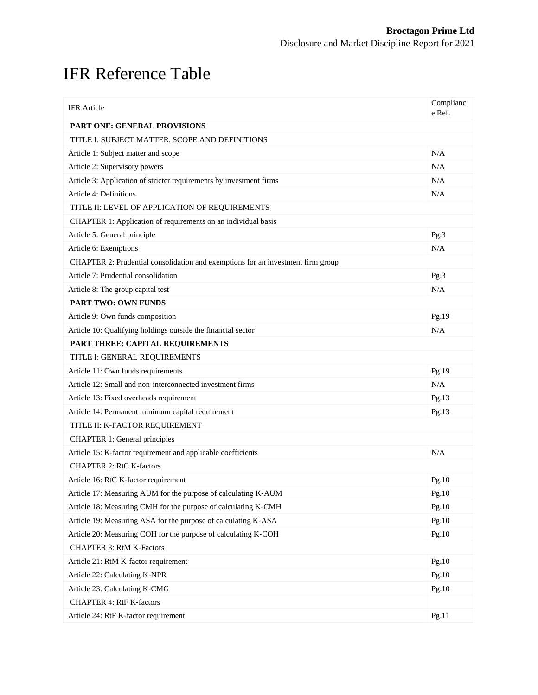# <span id="page-28-0"></span>IFR Reference Table

| <b>IFR</b> Article                                                              | Complianc<br>e Ref. |
|---------------------------------------------------------------------------------|---------------------|
| <b>PART ONE: GENERAL PROVISIONS</b>                                             |                     |
| TITLE I: SUBJECT MATTER, SCOPE AND DEFINITIONS                                  |                     |
| Article 1: Subject matter and scope                                             | N/A                 |
| Article 2: Supervisory powers                                                   | N/A                 |
| Article 3: Application of stricter requirements by investment firms             | N/A                 |
| Article 4: Definitions                                                          | N/A                 |
| TITLE II: LEVEL OF APPLICATION OF REQUIREMENTS                                  |                     |
| CHAPTER 1: Application of requirements on an individual basis                   |                     |
| Article 5: General principle                                                    | Pg.3                |
| Article 6: Exemptions                                                           | N/A                 |
| CHAPTER 2: Prudential consolidation and exemptions for an investment firm group |                     |
| Article 7: Prudential consolidation                                             | Pg.3                |
| Article 8: The group capital test                                               | N/A                 |
| <b>PART TWO: OWN FUNDS</b>                                                      |                     |
| Article 9: Own funds composition                                                | Pg.19               |
| Article 10: Qualifying holdings outside the financial sector                    | N/A                 |
| PART THREE: CAPITAL REQUIREMENTS                                                |                     |
| TITLE I: GENERAL REQUIREMENTS                                                   |                     |
| Article 11: Own funds requirements                                              | Pg.19               |
| Article 12: Small and non-interconnected investment firms                       | N/A                 |
| Article 13: Fixed overheads requirement                                         | Pg.13               |
| Article 14: Permanent minimum capital requirement                               | Pg.13               |
| TITLE II: K-FACTOR REQUIREMENT                                                  |                     |
| <b>CHAPTER 1: General principles</b>                                            |                     |
| Article 15: K-factor requirement and applicable coefficients                    | N/A                 |
| <b>CHAPTER 2: RtC K-factors</b>                                                 |                     |
| Article 16: RtC K-factor requirement                                            | Pg.10               |
| Article 17: Measuring AUM for the purpose of calculating K-AUM                  | Pg.10               |
| Article 18: Measuring CMH for the purpose of calculating K-CMH                  | Pg.10               |
| Article 19: Measuring ASA for the purpose of calculating K-ASA                  | Pg.10               |
| Article 20: Measuring COH for the purpose of calculating K-COH                  | Pg.10               |
| <b>CHAPTER 3: RtM K-Factors</b>                                                 |                     |
| Article 21: RtM K-factor requirement                                            | Pg.10               |
| Article 22: Calculating K-NPR                                                   | Pg.10               |
| Article 23: Calculating K-CMG                                                   | Pg.10               |
| <b>CHAPTER 4: RtF K-factors</b>                                                 |                     |
| Article 24: RtF K-factor requirement                                            | Pg.11               |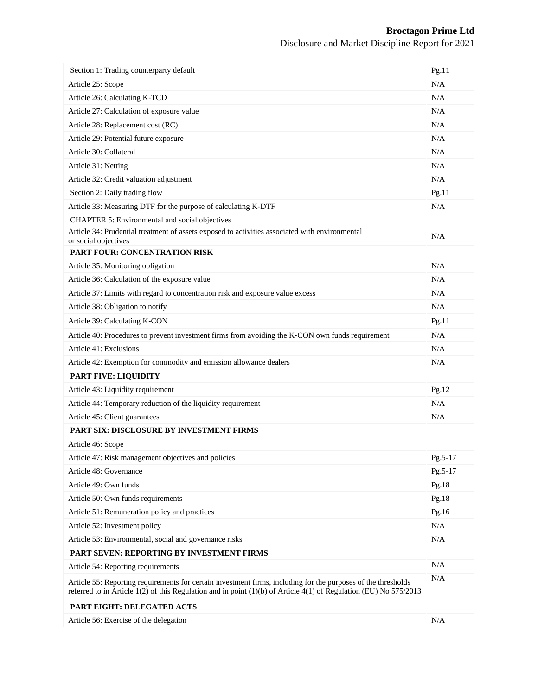| Section 1: Trading counterparty default                                                                                                                                                                                              | Pg.11     |  |  |
|--------------------------------------------------------------------------------------------------------------------------------------------------------------------------------------------------------------------------------------|-----------|--|--|
| Article 25: Scope                                                                                                                                                                                                                    |           |  |  |
| Article 26: Calculating K-TCD                                                                                                                                                                                                        | N/A       |  |  |
| Article 27: Calculation of exposure value                                                                                                                                                                                            | N/A       |  |  |
| Article 28: Replacement cost (RC)                                                                                                                                                                                                    | N/A       |  |  |
| Article 29: Potential future exposure                                                                                                                                                                                                | N/A       |  |  |
| Article 30: Collateral                                                                                                                                                                                                               | N/A       |  |  |
| Article 31: Netting                                                                                                                                                                                                                  | N/A       |  |  |
| Article 32: Credit valuation adjustment                                                                                                                                                                                              | N/A       |  |  |
| Section 2: Daily trading flow                                                                                                                                                                                                        | Pg.11     |  |  |
| Article 33: Measuring DTF for the purpose of calculating K-DTF                                                                                                                                                                       | N/A       |  |  |
| CHAPTER 5: Environmental and social objectives                                                                                                                                                                                       |           |  |  |
| Article 34: Prudential treatment of assets exposed to activities associated with environmental<br>or social objectives                                                                                                               | N/A       |  |  |
| PART FOUR: CONCENTRATION RISK                                                                                                                                                                                                        |           |  |  |
| Article 35: Monitoring obligation                                                                                                                                                                                                    | N/A       |  |  |
| Article 36: Calculation of the exposure value                                                                                                                                                                                        | N/A       |  |  |
| Article 37: Limits with regard to concentration risk and exposure value excess                                                                                                                                                       | N/A       |  |  |
| Article 38: Obligation to notify                                                                                                                                                                                                     | N/A       |  |  |
| Article 39: Calculating K-CON                                                                                                                                                                                                        | Pg.11     |  |  |
| Article 40: Procedures to prevent investment firms from avoiding the K-CON own funds requirement                                                                                                                                     | N/A       |  |  |
| Article 41: Exclusions                                                                                                                                                                                                               | N/A       |  |  |
| Article 42: Exemption for commodity and emission allowance dealers                                                                                                                                                                   | N/A       |  |  |
| PART FIVE: LIQUIDITY                                                                                                                                                                                                                 |           |  |  |
| Article 43: Liquidity requirement                                                                                                                                                                                                    | Pg.12     |  |  |
| Article 44: Temporary reduction of the liquidity requirement                                                                                                                                                                         | N/A       |  |  |
| Article 45: Client guarantees                                                                                                                                                                                                        | N/A       |  |  |
| PART SIX: DISCLOSURE BY INVESTMENT FIRMS                                                                                                                                                                                             |           |  |  |
| Article 46: Scope                                                                                                                                                                                                                    |           |  |  |
| Article 47: Risk management objectives and policies                                                                                                                                                                                  | Pg.5-17   |  |  |
| Article 48: Governance                                                                                                                                                                                                               | $Pg.5-17$ |  |  |
| Article 49: Own funds                                                                                                                                                                                                                | Pg.18     |  |  |
| Article 50: Own funds requirements                                                                                                                                                                                                   | Pg.18     |  |  |
| Article 51: Remuneration policy and practices                                                                                                                                                                                        |           |  |  |
| Article 52: Investment policy                                                                                                                                                                                                        |           |  |  |
| Article 53: Environmental, social and governance risks                                                                                                                                                                               | N/A       |  |  |
| PART SEVEN: REPORTING BY INVESTMENT FIRMS                                                                                                                                                                                            |           |  |  |
| Article 54: Reporting requirements                                                                                                                                                                                                   | N/A       |  |  |
| Article 55: Reporting requirements for certain investment firms, including for the purposes of the thresholds<br>referred to in Article 1(2) of this Regulation and in point (1)(b) of Article 4(1) of Regulation (EU) No $575/2013$ | N/A       |  |  |
| PART EIGHT: DELEGATED ACTS                                                                                                                                                                                                           |           |  |  |
| Article 56: Exercise of the delegation                                                                                                                                                                                               | N/A       |  |  |